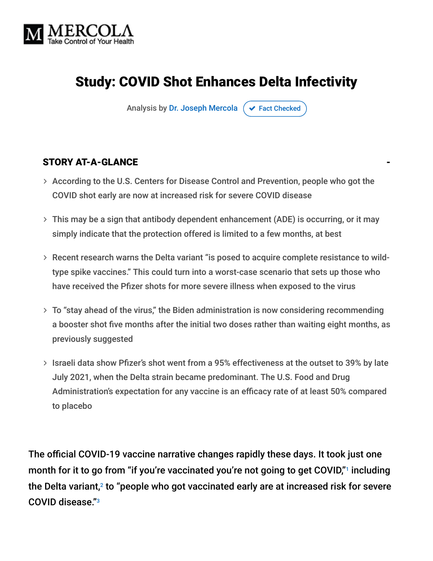

# Study: COVID Shot Enhances Delta Infectivity

Analysis by [Dr. Joseph Mercola](https://www.mercola.com/forms/background.htm)  $\sigma$  [Fact Checked](javascript:void(0))

#### STORY AT-A-GLANCE

- According to the U.S. Centers for Disease Control and Prevention, people who got the COVID shot early are now at increased risk for severe COVID disease
- This may be a sign that antibody dependent enhancement (ADE) is occurring, or it may simply indicate that the protection offered is limited to a few months, at best
- Recent research warns the Delta variant "is posed to acquire complete resistance to wild type spike vaccines." This could turn into a worst-case scenario that sets up those who have received the Pfizer shots for more severe illness when exposed to the virus
- $>$  To "stay ahead of the virus," the Biden administration is now considering recommending a booster shot five months after the initial two doses rather than waiting eight months, as previously suggested
- > Israeli data show Pfizer's shot went from a 95% effectiveness at the outset to 39% by late July 2021, when the Delta strain became predominant. The U.S. Food and Drug Administration's expectation for any vaccine is an efficacy rate of at least 50% compared to placebo

The official COVID-19 vaccine narrative changes rapidly these days. It took just one month for it to go from "if you're vaccinated you're not going to get COVID,"1 including the Delta variant, $^2$  to "people who got vaccinated early are at increased risk for severe COVID disease." 3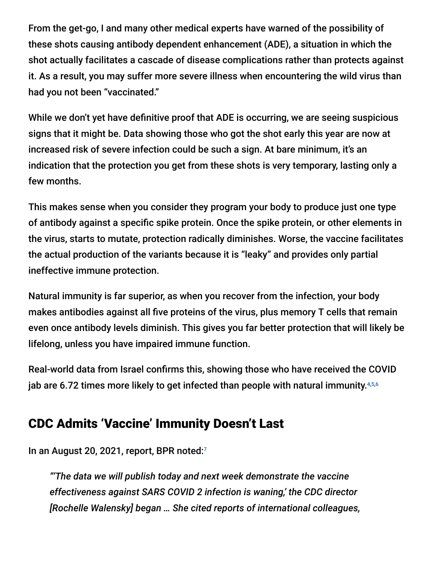From the get-go, I and many other medical experts have warned of the possibility of these shots causing antibody dependent enhancement (ADE), a situation in which the shot actually facilitates a cascade of disease complications rather than protects against it. As a result, you may suffer more severe illness when encountering the wild virus than had you not been "vaccinated."

While we don't yet have definitive proof that ADE is occurring, we are seeing suspicious signs that it might be. Data showing those who got the shot early this year are now at increased risk of severe infection could be such a sign. At bare minimum, it's an indication that the protection you get from these shots is very temporary, lasting only a few months.

This makes sense when you consider they program your body to produce just one type of antibody against a specific spike protein. Once the spike protein, or other elements in the virus, starts to mutate, protection radically diminishes. Worse, the vaccine facilitates the actual production of the variants because it is "leaky" and provides only partial ineffective immune protection.

Natural immunity is far superior, as when you recover from the infection, your body makes antibodies against all five proteins of the virus, plus memory T cells that remain even once antibody levels diminish. This gives you far better protection that will likely be lifelong, unless you have impaired immune function.

Real-world data from Israel confirms this, showing those who have received the COVID jab are 6.72 times more likely to get infected than people with natural immunity.4,5,6

### CDC Admits 'Vaccine' Immunity Doesn't Last

In an August 20, 2021, report, BPR noted:7

*"'The data we will publish today and next week demonstrate the vaccine effectiveness against SARS COVID 2 infection is waning,' the CDC director [Rochelle Walensky] began … She cited reports of international colleagues,*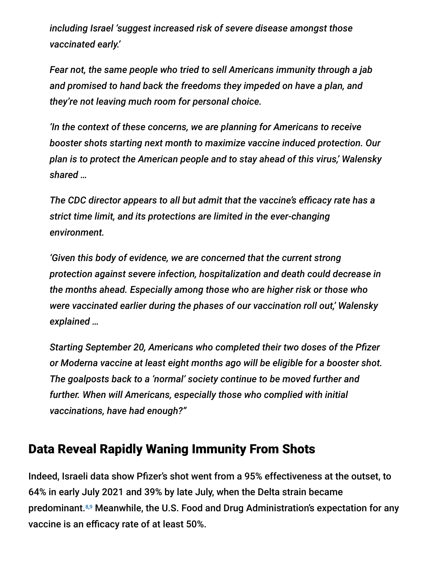*including Israel 'suggest increased risk of severe disease amongst those vaccinated early.'*

*Fear not, the same people who tried to sell Americans immunity through a jab and promised to hand back the freedoms they impeded on have a plan, and they're not leaving much room for personal choice.*

*'In the context of these concerns, we are planning for Americans to receive booster shots starting next month to maximize vaccine induced protection. Our plan is to protect the American people and to stay ahead of this virus,' Walensky shared …*

*The CDC director appears to all but admit that the vaccine's efficacy rate has a strict time limit, and its protections are limited in the ever-changing environment.*

*'Given this body of evidence, we are concerned that the current strong protection against severe infection, hospitalization and death could decrease in the months ahead. Especially among those who are higher risk or those who were vaccinated earlier during the phases of our vaccination roll out,' Walensky explained …*

*Starting September 20, Americans who completed their two doses of the Pfizer or Moderna vaccine at least eight months ago will be eligible for a booster shot. The goalposts back to a 'normal' society continue to be moved further and further. When will Americans, especially those who complied with initial vaccinations, have had enough?"*

### Data Reveal Rapidly Waning Immunity From Shots

Indeed, Israeli data show Pfizer's shot went from a 95% effectiveness at the outset, to 64% in early July 2021 and 39% by late July, when the Delta strain became predominant.<sup>8,9</sup> Meanwhile, the U.S. Food and Drug Administration's expectation for any vaccine is an efficacy rate of at least 50%.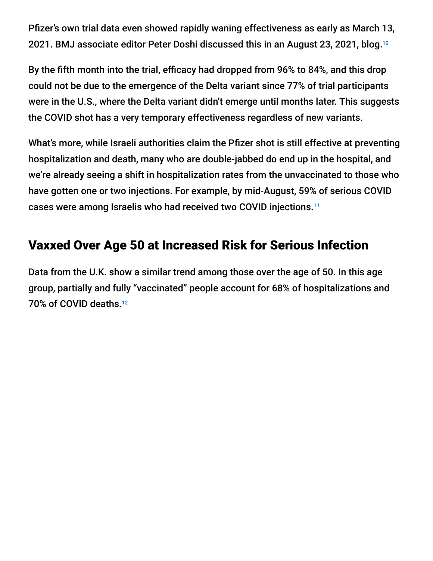Pfizer's own trial data even showed rapidly waning effectiveness as early as March 13, 2021. BMJ associate editor Peter Doshi discussed this in an August 23, 2021, blog. 10

By the fifth month into the trial, efficacy had dropped from 96% to 84%, and this drop could not be due to the emergence of the Delta variant since 77% of trial participants were in the U.S., where the Delta variant didn't emerge until months later. This suggests the COVID shot has a very temporary effectiveness regardless of new variants.

What's more, while Israeli authorities claim the Pfizer shot is still effective at preventing hospitalization and death, many who are double-jabbed do end up in the hospital, and we're already seeing a shift in hospitalization rates from the unvaccinated to those who have gotten one or two injections. For example, by mid-August, 59% of serious COVID cases were among Israelis who had received two COVID injections. 11

# Vaxxed Over Age 50 at Increased Risk for Serious Infection

Data from the U.K. show a similar trend among those over the age of 50. In this age group, partially and fully "vaccinated" people account for 68% of hospitalizations and 70% of COVID deaths. 12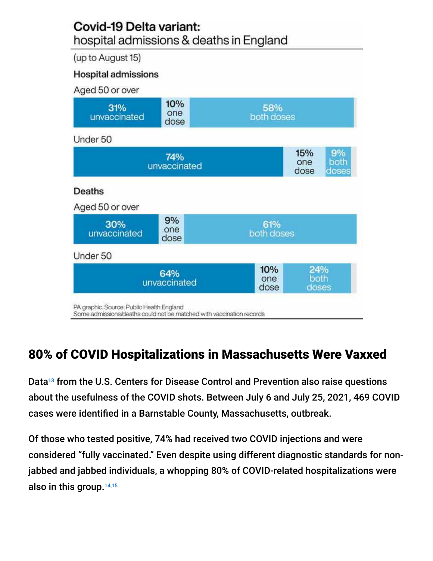#### Covid-19 Delta variant: hospital admissions & deaths in England

(up to August 15)

#### **Hospital admissions**

| Aged 50 or over                                                                                                   |                    |                    |                                           |
|-------------------------------------------------------------------------------------------------------------------|--------------------|--------------------|-------------------------------------------|
| 31%<br>unvaccinated                                                                                               | 10%<br>one<br>dose | 58%<br>both doses  |                                           |
| Under 50                                                                                                          |                    |                    |                                           |
| 74%<br>unvaccinated                                                                                               |                    |                    | 15%<br>9%<br>both<br>one<br>dose<br>doses |
| Deaths                                                                                                            |                    |                    |                                           |
| Aged 50 or over                                                                                                   |                    |                    |                                           |
| 30%<br>unvaccinated                                                                                               | 9%<br>one<br>dose  | 61%<br>both doses  |                                           |
| Under 50                                                                                                          |                    |                    |                                           |
| 64%<br>unvaccinated                                                                                               |                    | 10%<br>one<br>dose | 24%<br>both<br>doses                      |
| PA graphic. Source: Public Health England<br>Some admissions/deaths could not be matched with vaccination records |                    |                    |                                           |

# 80% of COVID Hospitalizations in Massachusetts Were Vaxxed

Data<sup>13</sup> from the U.S. Centers for Disease Control and Prevention also raise questions about the usefulness of the COVID shots. Between July 6 and July 25, 2021, 469 COVID cases were identified in a Barnstable County, Massachusetts, outbreak.

Of those who tested positive, 74% had received two COVID injections and were considered "fully vaccinated." Even despite using different diagnostic standards for nonjabbed and jabbed individuals, a whopping 80% of COVID-related hospitalizations were also in this group. $^{14,15}$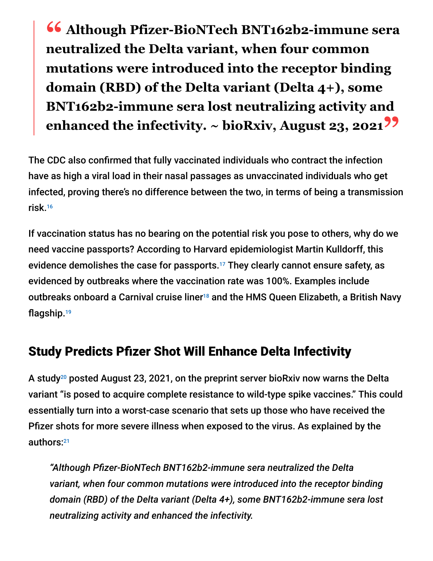**" Although Pfizer-BioNTech BNT162b2-immune sera neutralized the Delta variant, when four common mutations were introduced into the receptor binding domain (RBD) of the Delta variant (Delta 4+), some BNT162b2-immune sera lost neutralizing activity and enhanced the infectivity. ~ bioRxiv, August 23, 2021"**

The CDC also confirmed that fully vaccinated individuals who contract the infection have as high a viral load in their nasal passages as unvaccinated individuals who get infected, proving there's no difference between the two, in terms of being a transmission risk. 16

If vaccination status has no bearing on the potential risk you pose to others, why do we need vaccine passports? According to Harvard epidemiologist Martin Kulldorff, this evidence demolishes the case for passports.<sup>17</sup> They clearly cannot ensure safety, as evidenced by outbreaks where the vaccination rate was 100%. Examples include outbreaks onboard a Carnival cruise liner<sup>18</sup> and the HMS Queen Elizabeth, a British Navy flagship. 19

## Study Predicts Pfizer Shot Will Enhance Delta Infectivity

A study $^{20}$  posted August 23, 2021, on the preprint server bioRxiv now warns the Delta variant "is posed to acquire complete resistance to wild-type spike vaccines." This could essentially turn into a worst-case scenario that sets up those who have received the Pfizer shots for more severe illness when exposed to the virus. As explained by the authors: 21

*"Although Pfizer-BioNTech BNT162b2-immune sera neutralized the Delta variant, when four common mutations were introduced into the receptor binding domain (RBD) of the Delta variant (Delta 4+), some BNT162b2-immune sera lost neutralizing activity and enhanced the infectivity.*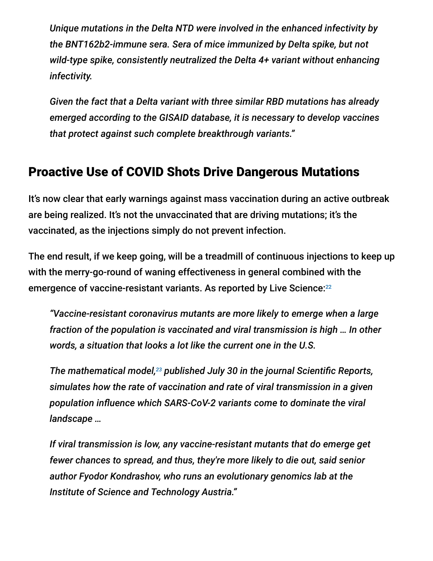*Unique mutations in the Delta NTD were involved in the enhanced infectivity by the BNT162b2-immune sera. Sera of mice immunized by Delta spike, but not wild-type spike, consistently neutralized the Delta 4+ variant without enhancing infectivity.*

*Given the fact that a Delta variant with three similar RBD mutations has already emerged according to the GISAID database, it is necessary to develop vaccines that protect against such complete breakthrough variants."*

## Proactive Use of COVID Shots Drive Dangerous Mutations

It's now clear that early warnings against mass vaccination during an active outbreak are being realized. It's not the unvaccinated that are driving mutations; it's the vaccinated, as the injections simply do not prevent infection.

The end result, if we keep going, will be a treadmill of continuous injections to keep up with the merry-go-round of waning effectiveness in general combined with the emergence of vaccine-resistant variants. As reported by Live Science: 22

*"Vaccine-resistant coronavirus mutants are more likely to emerge when a large fraction of the population is vaccinated and viral transmission is high … In other words, a situation that looks a lot like the current one in the U.S.*

*The mathematical model,<sup>23</sup> published July 30 in the journal Scientific Reports, simulates how the rate of vaccination and rate of viral transmission in a given population influence which SARS-CoV-2 variants come to dominate the viral landscape …*

*If viral transmission is low, any vaccine-resistant mutants that do emerge get fewer chances to spread, and thus, they're more likely to die out, said senior author Fyodor Kondrashov, who runs an evolutionary genomics lab at the Institute of Science and Technology Austria."*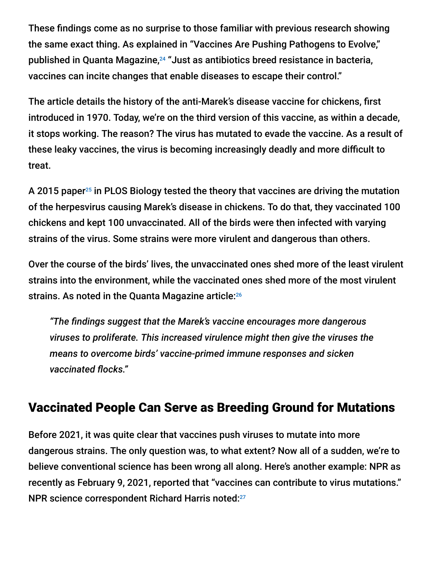These findings come as no surprise to those familiar with previous research showing the same exact thing. As explained in "Vaccines Are Pushing Pathogens to Evolve," published in Quanta Magazine,<sup>24</sup> "Just as antibiotics breed resistance in bacteria, vaccines can incite changes that enable diseases to escape their control."

The article details the history of the anti-Marek's disease vaccine for chickens, first introduced in 1970. Today, we're on the third version of this vaccine, as within a decade, it stops working. The reason? The virus has mutated to evade the vaccine. As a result of these leaky vaccines, the virus is becoming increasingly deadly and more difficult to treat.

A 2015 paper $^{25}$  in PLOS Biology tested the theory that vaccines are driving the mutation of the herpesvirus causing Marek's disease in chickens. To do that, they vaccinated 100 chickens and kept 100 unvaccinated. All of the birds were then infected with varying strains of the virus. Some strains were more virulent and dangerous than others.

Over the course of the birds' lives, the unvaccinated ones shed more of the least virulent strains into the environment, while the vaccinated ones shed more of the most virulent strains. As noted in the Quanta Magazine article: 26

*"The findings suggest that the Marek's vaccine encourages more dangerous viruses to proliferate. This increased virulence might then give the viruses the means to overcome birds' vaccine-primed immune responses and sicken vaccinated flocks."*

## Vaccinated People Can Serve as Breeding Ground for Mutations

Before 2021, it was quite clear that vaccines push viruses to mutate into more dangerous strains. The only question was, to what extent? Now all of a sudden, we're to believe conventional science has been wrong all along. Here's another example: NPR as recently as February 9, 2021, reported that "vaccines can contribute to virus mutations." NPR science correspondent Richard Harris noted:<sup>27</sup>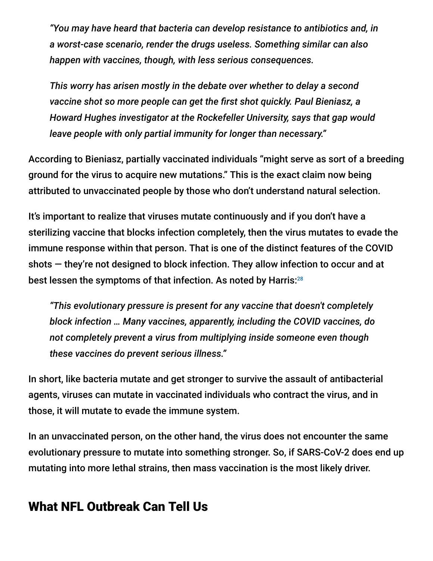*"You may have heard that bacteria can develop resistance to antibiotics and, in a worst-case scenario, render the drugs useless. Something similar can also happen with vaccines, though, with less serious consequences.*

*This worry has arisen mostly in the debate over whether to delay a second vaccine shot so more people can get the first shot quickly. Paul Bieniasz, a Howard Hughes investigator at the Rockefeller University, says that gap would leave people with only partial immunity for longer than necessary."*

According to Bieniasz, partially vaccinated individuals "might serve as sort of a breeding ground for the virus to acquire new mutations." This is the exact claim now being attributed to unvaccinated people by those who don't understand natural selection.

It's important to realize that viruses mutate continuously and if you don't have a sterilizing vaccine that blocks infection completely, then the virus mutates to evade the immune response within that person. That is one of the distinct features of the COVID shots — they're not designed to block infection. They allow infection to occur and at best lessen the symptoms of that infection. As noted by Harris: $^{28}$ 

*"This evolutionary pressure is present for any vaccine that doesn't completely block infection … Many vaccines, apparently, including the COVID vaccines, do not completely prevent a virus from multiplying inside someone even though these vaccines do prevent serious illness."*

In short, like bacteria mutate and get stronger to survive the assault of antibacterial agents, viruses can mutate in vaccinated individuals who contract the virus, and in those, it will mutate to evade the immune system.

In an unvaccinated person, on the other hand, the virus does not encounter the same evolutionary pressure to mutate into something stronger. So, if SARS-CoV-2 does end up mutating into more lethal strains, then mass vaccination is the most likely driver.

# What NFL Outbreak Can Tell Us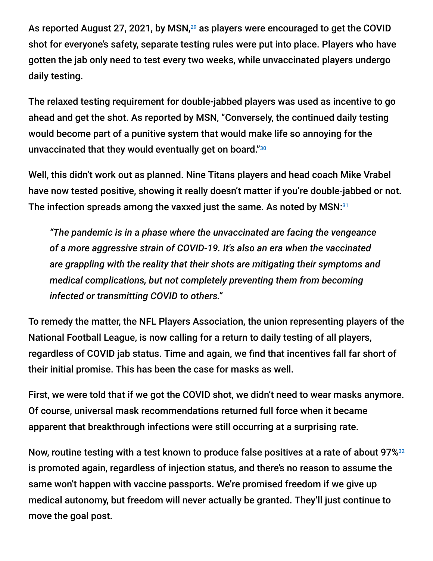As reported August 27, 2021, by MSN, $^{29}$  as players were encouraged to get the COVID shot for everyone's safety, separate testing rules were put into place. Players who have gotten the jab only need to test every two weeks, while unvaccinated players undergo daily testing.

The relaxed testing requirement for double-jabbed players was used as incentive to go ahead and get the shot. As reported by MSN, "Conversely, the continued daily testing would become part of a punitive system that would make life so annoying for the unvaccinated that they would eventually get on board." 30

Well, this didn't work out as planned. Nine Titans players and head coach Mike Vrabel have now tested positive, showing it really doesn't matter if you're double-jabbed or not. The infection spreads among the vaxxed just the same. As noted by MSN:<sup>31</sup>

*"The pandemic is in a phase where the unvaccinated are facing the vengeance of a more aggressive strain of COVID-19. It's also an era when the vaccinated are grappling with the reality that their shots are mitigating their symptoms and medical complications, but not completely preventing them from becoming infected or transmitting COVID to others."*

To remedy the matter, the NFL Players Association, the union representing players of the National Football League, is now calling for a return to daily testing of all players, regardless of COVID jab status. Time and again, we find that incentives fall far short of their initial promise. This has been the case for masks as well.

First, we were told that if we got the COVID shot, we didn't need to wear masks anymore. Of course, universal mask recommendations returned full force when it became apparent that breakthrough infections were still occurring at a surprising rate.

Now, routine testing with a test known to produce false positives at a rate of about 97% 32is promoted again, regardless of injection status, and there's no reason to assume the same won't happen with vaccine passports. We're promised freedom if we give up medical autonomy, but freedom will never actually be granted. They'll just continue to move the goal post.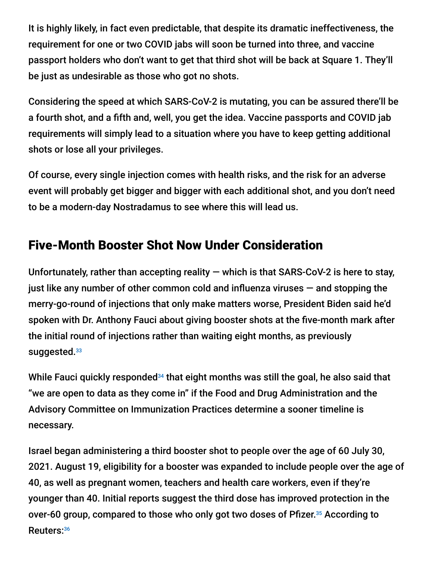It is highly likely, in fact even predictable, that despite its dramatic ineffectiveness, the requirement for one or two COVID jabs will soon be turned into three, and vaccine passport holders who don't want to get that third shot will be back at Square 1. They'll be just as undesirable as those who got no shots.

Considering the speed at which SARS-CoV-2 is mutating, you can be assured there'll be a fourth shot, and a fifth and, well, you get the idea. Vaccine passports and COVID jab requirements will simply lead to a situation where you have to keep getting additional shots or lose all your privileges.

Of course, every single injection comes with health risks, and the risk for an adverse event will probably get bigger and bigger with each additional shot, and you don't need to be a modern-day Nostradamus to see where this will lead us.

# Five-Month Booster Shot Now Under Consideration

Unfortunately, rather than accepting reality  $-$  which is that SARS-CoV-2 is here to stay, just like any number of other common cold and influenza viruses  $-$  and stopping the merry-go-round of injections that only make matters worse, President Biden said he'd spoken with Dr. Anthony Fauci about giving booster shots at the five-month mark after the initial round of injections rather than waiting eight months, as previously suggested.<sup>33</sup>

While Fauci quickly responded $34$  that eight months was still the goal, he also said that "we are open to data as they come in" if the Food and Drug Administration and the Advisory Committee on Immunization Practices determine a sooner timeline is necessary.

Israel began administering a third booster shot to people over the age of 60 July 30, 2021. August 19, eligibility for a booster was expanded to include people over the age of 40, as well as pregnant women, teachers and health care workers, even if they're younger than 40. Initial reports suggest the third dose has improved protection in the over-60 group, compared to those who only got two doses of Pfizer.<sup>35</sup> According to Reuters: 36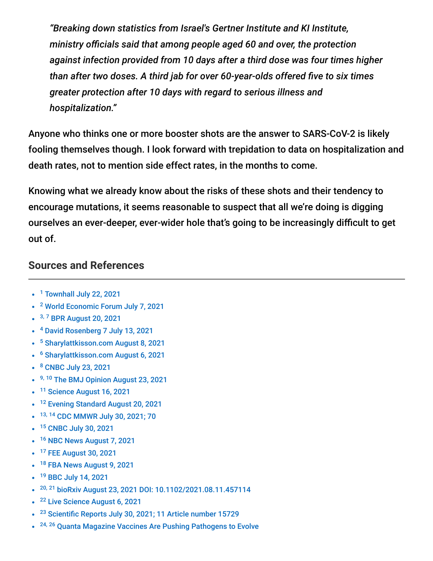*"Breaking down statistics from Israel's Gertner Institute and KI Institute, ministry officials said that among people aged 60 and over, the protection against infection provided from 10 days after a third dose was four times higher than after two doses. A third jab for over 60-year-olds offered five to six times greater protection after 10 days with regard to serious illness and hospitalization."*

Anyone who thinks one or more booster shots are the answer to SARS-CoV-2 is likely fooling themselves though. I look forward with trepidation to data on hospitalization and death rates, not to mention side effect rates, in the months to come.

Knowing what we already know about the risks of these shots and their tendency to encourage mutations, it seems reasonable to suspect that all we're doing is digging ourselves an ever-deeper, ever-wider hole that's going to be increasingly difficult to get out of.

#### **Sources and References**

- <sup>1</sup> [Townhall July 22, 2021](https://townhall.com/tipsheet/leahbarkoukis/2021/07/22/biden-claims-you-cant-get-covid-after-vaccine-n2592934)
- <sup>2</sup> [World Economic Forum July 7, 2021](https://www.weforum.org/agenda/2021/07/delta-variant-vaccines-protect/)
- <sup>3, 7</sup> [BPR August 20, 2021](https://www.bizpacreview.com/2021/08/20/cdc-director-there-is-an-increased-risk-of-severe-disease-among-those-vaccinated-early-1121545/)
- <sup>4</sup> [David Rosenberg 7 July 13, 2021](https://www.israelnationalnews.com/News/News.aspx/309762)
- <sup>5</sup> [Sharylattkisson.com August 8, 2021](https://sharylattkisson.com/2021/08/report-israel-vaccination-provides-far-less-protection-than-previous-covid-infection/)
- <sup>6</sup> [Sharylattkisson.com August 6, 2021](https://sharylattkisson.com/2021/08/covid-19-natural-immunity-compared-to-vaccine-induced-immunity-the-definitive-summary/)
- <sup>8</sup> [CNBC July 23, 2021](https://www.cnbc.com/2021/07/23/delta-variant-pfizer-covid-vaccine-39percent-effective-in-israel-prevents-severe-illness.html)
- <sup>9, 10</sup> [The BMJ Opinion August 23, 2021](https://blogs.bmj.com/bmj/2021/08/23/does-the-fda-think-these-data-justify-the-first-full-approval-of-a-covid-19-vaccine/?utm_source=twitter&utm_medium=social&utm_term=hootsuite&utm_content=sme&utm_campaign=usage)
- <sup>11</sup> [Science August 16, 2021](https://www.sciencemag.org/news/2021/08/grim-warning-israel-vaccination-blunts-does-not-defeat-delta)
- <sup>12</sup> [Evening Standard August 20, 2021](https://www.standard.co.uk/news/uk/england-delta-donald-trump-government-public-health-england-b951620.html)
- 13, 14 [CDC MMWR July 30, 2021; 70](https://www.cdc.gov/mmwr/volumes/70/wr/mm7031e2.htm?s_cid=mm7031e2_w)
- <sup>15</sup> [CNBC July 30, 2021](https://www.cnbc.com/2021/07/30/cdc-study-shows-74percent-of-people-infected-in-massachusetts-covid-outbreak-were-fully-vaccinated.html)
- <sup>16</sup> [NBC News August 7, 2021](https://www.nbcnews.com/science/science-news/delta-variant-viral-load-scientists-are-watching-covid-pandemic-rcna1604)
- <sup>17</sup> [FEE August 30, 2021](https://fee.org/articles/harvard-epidemiologist-says-the-case-for-covid-vaccine-passports-was-just-demolished/)
- <sup>18</sup> [FBA News August 9, 2021](https://fbanews.org/2021/08/09/covid-outbreak-hits-carnival-cruise-despite-every-guest-and-staff-member-being-vaccinated/)
- <sup>19</sup> [BBC July 14, 2021](https://www.bbc.com/news/uk-57830617#:~:text=An%20outbreak%20of%20Covid%2D19,accompanying%20it%20are%20also%20affected.)
- <sup>20, 21</sup> [bioRxiv August 23, 2021 DOI: 10.1102/2021.08.11.457114](https://www.biorxiv.org/content/10.1101/2021.08.22.457114v1)
- <sup>22</sup> [Live Science August 6, 2021](https://www.livescience.com/coronavirus-vaccine-resistance-mutation-model.html)
- <sup>23</sup> [Scientific Reports July 30, 2021; 11 Article number 15729](https://www.nature.com/articles/s41598-021-95025-3?utm_medium=affiliate&utm_source=commission_junction&utm_campaign=3_nsn6445_deeplink_PID100052172&utm_content=deeplink)
- <sup>24, 26</sup> [Quanta Magazine Vaccines Are Pushing Pathogens to Evolve](https://www.quantamagazine.org/how-vaccines-can-drive-pathogens-to-evolve-20180510/)